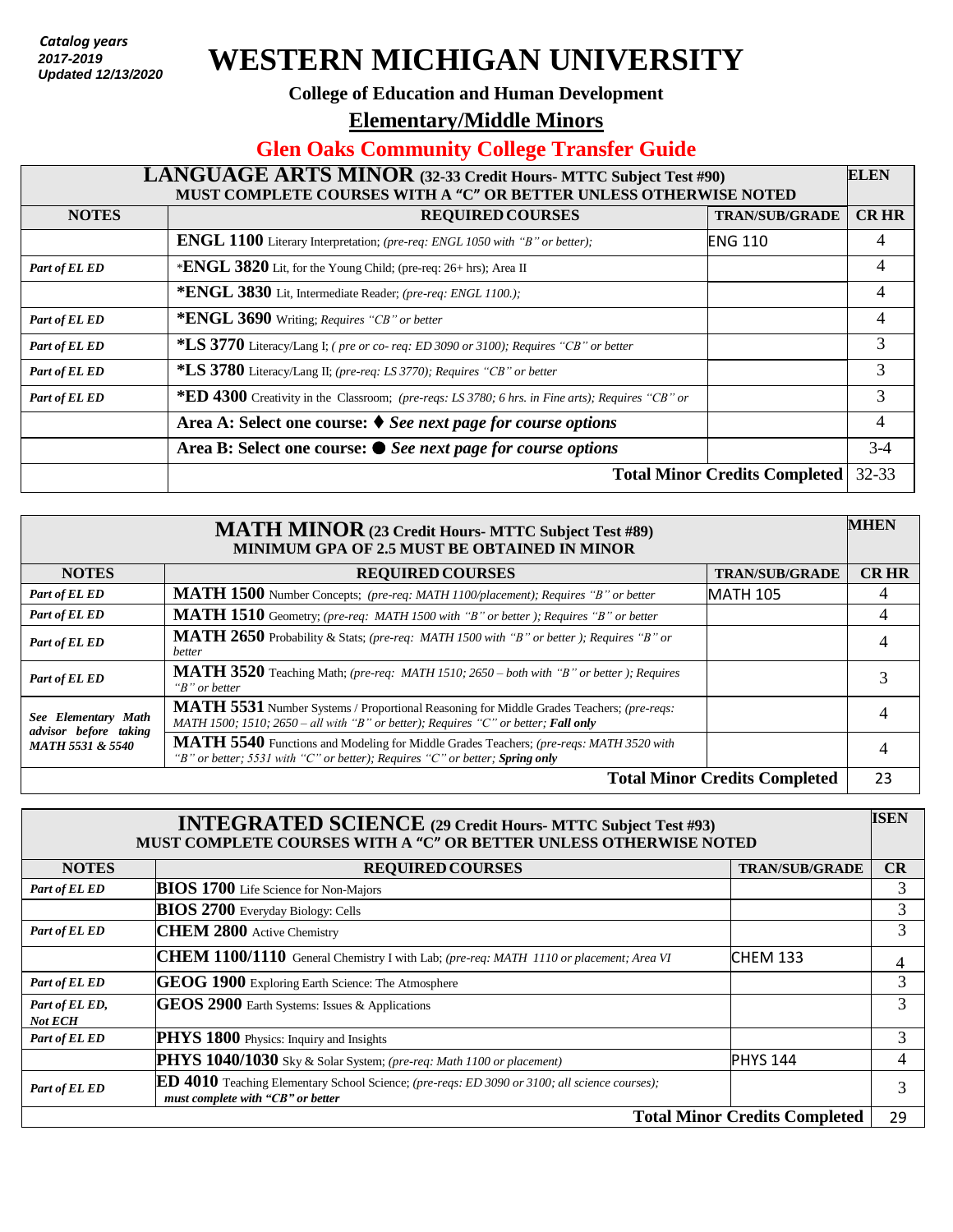*Catalog years 2017 - present* **2017-2019** *Updated: 7/26/2018*  **Updated 12/13/2020**

# **WESTERN MICHIGAN UNIVERSITY**

#### **College of Education and Human Development**

**Elementary/Middle Minors** 

#### **Glen Oaks Community College Transfer Guide**

### **LANGUAGE ARTS MINOR (32-33 Credit Hours- MTTC Subject Test #90) MUST COMPLETE COURSES WITH A "C" OR BETTER UNLESS OTHERWISE NOTED ELEN NOTES REQUIRED COURSES TRAN/SUB/GRADE CR HR ENGL 1100** Literary Interpretation; *(pre-req: ENGL 1050 with "B" or better);* ENG 110 4 *Part of EL ED* \***ENGL** 3820 Lit, for the Young Child; (pre-req: 26+ hrs); Area II 4 **\*ENGL 3830** Lit, Intermediate Reader; *(pre-req: ENGL 1100.);* 4 *Part of EL ED* **\*ENGL 3690** Writing; *Requires* "CB" or better 4 *Part of EL ED* **\*LS 3770** Literacy/Lang I; *( pre or co- req: ED 3090 or 3100); Requires "CB" or better* 3 *Part of EL ED* **\*LS 3780** Literacy/Lang II; *(pre-req: LS 3770); Requires "CB" or better* 3 *Part of EL ED* **\*ED 4300** Creativity in the Classroom; *(pre-reqs: LS 3780; 6 hrs. in Fine arts); Requires "CB" or betera* **<b>A:** Select one course: ♦ See next page for course options 4 3 **Area B: Select one course:** *See next page for course options* 3-4 **Total Minor Credits Completed** 32-33

| <b>MATH MINOR</b> (23 Credit Hours- MTTC Subject Test #89)<br><b>MINIMUM GPA OF 2.5 MUST BE OBTAINED IN MINOR</b> |                                                                                                                                                                                |                       | <b>MHEN</b> |
|-------------------------------------------------------------------------------------------------------------------|--------------------------------------------------------------------------------------------------------------------------------------------------------------------------------|-----------------------|-------------|
| <b>NOTES</b>                                                                                                      | <b>REQUIRED COURSES</b>                                                                                                                                                        | <b>TRAN/SUB/GRADE</b> | <b>CRHR</b> |
| Part of EL ED                                                                                                     | MATH 1500 Number Concepts; (pre-req: MATH 1100/placement); Requires "B" or better                                                                                              | <b>MATH 105</b>       | 4           |
| Part of EL ED                                                                                                     | MATH 1510 Geometry; (pre-req: MATH 1500 with "B" or better ); Requires "B" or better                                                                                           |                       | 4           |
| Part of EL ED                                                                                                     | MATH 2650 Probability & Stats; (pre-req: MATH 1500 with "B" or better); Requires "B" or<br>better                                                                              |                       |             |
| Part of EL ED                                                                                                     | MATH 3520 Teaching Math; (pre-req: MATH 1510; 2650 - both with "B" or better); Requires<br>"B" or better                                                                       |                       |             |
| See Elementary Math<br>advisor before taking<br><b>MATH 5531 &amp; 5540</b>                                       | MATH 5531 Number Systems / Proportional Reasoning for Middle Grades Teachers; (pre-reqs:<br>MATH 1500; 1510; 2650 – all with "B" or better); Requires "C" or better; Fall only |                       | 4           |
|                                                                                                                   | MATH 5540 Functions and Modeling for Middle Grades Teachers; (pre-reqs: MATH 3520 with<br>"B" or better; 5531 with "C" or better); Requires "C" or better; Spring only         |                       | 4           |
| <b>Total Minor Credits Completed</b>                                                                              |                                                                                                                                                                                |                       | 23          |

| <b>INTEGRATED SCIENCE</b> (29 Credit Hours- MTTC Subject Test #93)<br>MUST COMPLETE COURSES WITH A "C" OR BETTER UNLESS OTHERWISE NOTED |                                                                                                                                           |                       | <b>ISEN</b> |
|-----------------------------------------------------------------------------------------------------------------------------------------|-------------------------------------------------------------------------------------------------------------------------------------------|-----------------------|-------------|
| <b>NOTES</b>                                                                                                                            | <b>REQUIRED COURSES</b>                                                                                                                   | <b>TRAN/SUB/GRADE</b> | CR          |
| Part of EL ED                                                                                                                           | <b>BIOS 1700</b> Life Science for Non-Majors                                                                                              |                       | 3           |
|                                                                                                                                         | <b>BIOS 2700</b> Everyday Biology: Cells                                                                                                  |                       | 3           |
| Part of EL ED                                                                                                                           | <b>CHEM 2800 Active Chemistry</b>                                                                                                         |                       | 3           |
|                                                                                                                                         | CHEM 1100/1110 General Chemistry I with Lab; (pre-req: MATH 1110 or placement; Area VI                                                    | <b>CHEM 133</b>       | 4           |
| Part of EL ED                                                                                                                           | GEOG 1900 Exploring Earth Science: The Atmosphere                                                                                         |                       | 3           |
| Part of EL ED,<br><b>Not ECH</b>                                                                                                        | GEOS 2900 Earth Systems: Issues & Applications                                                                                            |                       | 3           |
| Part of EL ED                                                                                                                           | PHYS 1800 Physics: Inquiry and Insights                                                                                                   |                       | 3           |
|                                                                                                                                         | PHYS 1040/1030 Sky & Solar System; (pre-req: Math 1100 or placement)                                                                      | <b>PHYS 144</b>       | 4           |
| Part of EL ED                                                                                                                           | <b>ED 4010</b> Teaching Elementary School Science; (pre-reqs: ED 3090 or 3100; all science courses);<br>must complete with "CB" or better |                       | 3           |
| <b>Total Minor Credits Completed</b>                                                                                                    |                                                                                                                                           |                       | 29          |